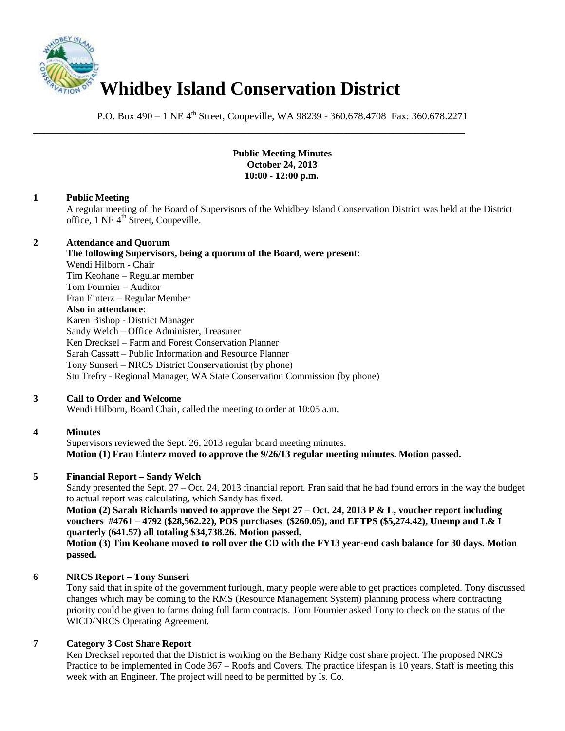

P.O. Box 490 – 1 NE 4<sup>th</sup> Street, Coupeville, WA 98239 - 360.678.4708 Fax: 360.678.2271

\_\_\_\_\_\_\_\_\_\_\_\_\_\_\_\_\_\_\_\_\_\_\_\_\_\_\_\_\_\_\_\_\_\_\_\_\_\_\_\_\_\_\_\_\_\_\_\_\_\_\_\_\_\_\_\_\_\_\_\_\_\_\_\_\_\_\_\_\_\_\_\_\_\_\_\_\_\_

#### **Public Meeting Minutes October 24, 2013 10:00 - 12:00 p.m.**

#### **1 Public Meeting**

A regular meeting of the Board of Supervisors of the Whidbey Island Conservation District was held at the District office, 1 NE 4<sup>th</sup> Street, Coupeville.

#### **2 Attendance and Quorum**

**The following Supervisors, being a quorum of the Board, were present**: Wendi Hilborn - Chair Tim Keohane – Regular member Tom Fournier – Auditor Fran Einterz – Regular Member **Also in attendance**: Karen Bishop - District Manager Sandy Welch – Office Administer, Treasurer Ken Drecksel – Farm and Forest Conservation Planner Sarah Cassatt – Public Information and Resource Planner Tony Sunseri – NRCS District Conservationist (by phone) Stu Trefry - Regional Manager, WA State Conservation Commission (by phone)

## **3 Call to Order and Welcome**

Wendi Hilborn, Board Chair, called the meeting to order at 10:05 a.m.

## **4 Minutes**

Supervisors reviewed the Sept. 26, 2013 regular board meeting minutes. **Motion (1) Fran Einterz moved to approve the 9/26/13 regular meeting minutes. Motion passed.**

## **5 Financial Report – Sandy Welch**

Sandy presented the Sept. 27 – Oct. 24, 2013 financial report. Fran said that he had found errors in the way the budget to actual report was calculating, which Sandy has fixed.

**Motion (2) Sarah Richards moved to approve the Sept 27 – Oct. 24, 2013 P & L, voucher report including vouchers #4761 – 4792 (\$28,562.22), POS purchases (\$260.05), and EFTPS (\$5,274.42), Unemp and L& I quarterly (641.57) all totaling \$34,738.26. Motion passed.** 

**Motion (3) Tim Keohane moved to roll over the CD with the FY13 year-end cash balance for 30 days. Motion passed.** 

## **6 NRCS Report – Tony Sunseri**

Tony said that in spite of the government furlough, many people were able to get practices completed. Tony discussed changes which may be coming to the RMS (Resource Management System) planning process where contracting priority could be given to farms doing full farm contracts. Tom Fournier asked Tony to check on the status of the WICD/NRCS Operating Agreement.

#### **7 Category 3 Cost Share Report**

Ken Drecksel reported that the District is working on the Bethany Ridge cost share project. The proposed NRCS Practice to be implemented in Code 367 – Roofs and Covers. The practice lifespan is 10 years. Staff is meeting this week with an Engineer. The project will need to be permitted by Is. Co.